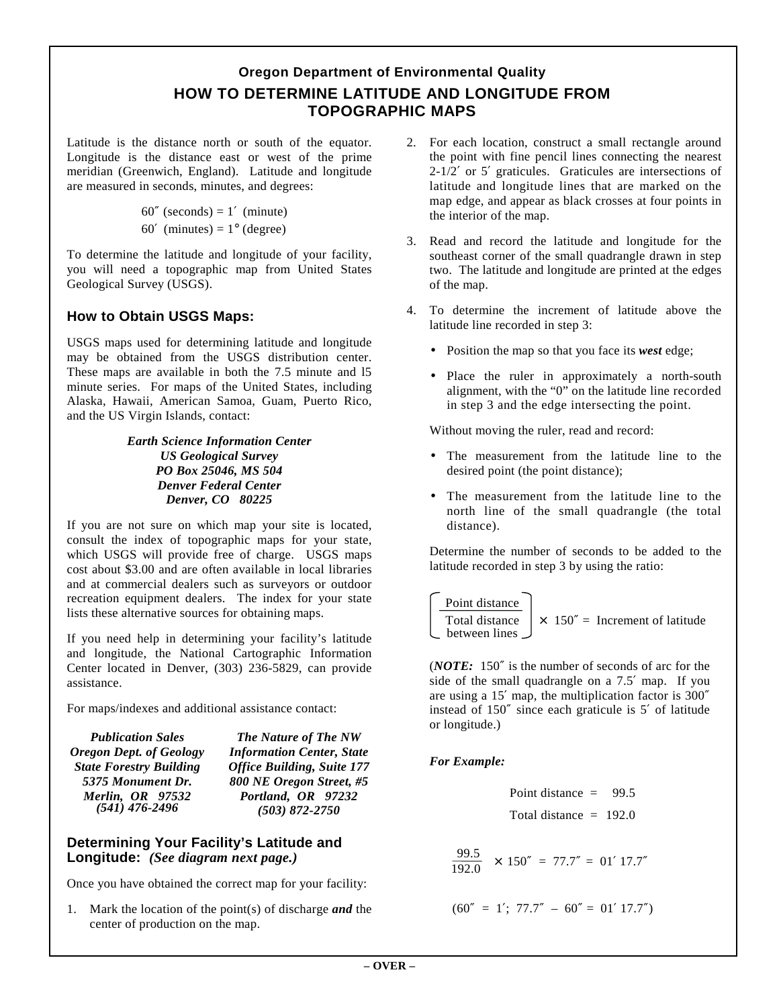## **Oregon Department of Environmental Quality HOW TO DETERMINE LATITUDE AND LONGITUDE FROM TOPOGRAPHIC MAPS**

Latitude is the distance north or south of the equator. Longitude is the distance east or west of the prime meridian (Greenwich, England). Latitude and longitude are measured in seconds, minutes, and degrees:

```
60'' (seconds) = 1' (minute)
```
60' (minutes) =  $1^{\circ}$  (degree)

To determine the latitude and longitude of your facility, you will need a topographic map from United States Geological Survey (USGS).

### **How to Obtain USGS Maps:**

USGS maps used for determining latitude and longitude may be obtained from the USGS distribution center. These maps are available in both the 7.5 minute and l5 minute series. For maps of the United States, including Alaska, Hawaii, American Samoa, Guam, Puerto Rico, and the US Virgin Islands, contact:

> *Earth Science Information Center US Geological Survey PO Box 25046, MS 504 Denver Federal Center Denver, CO 80225*

If you are not sure on which map your site is located, consult the index of topographic maps for your state, which USGS will provide free of charge. USGS maps cost about \$3.00 and are often available in local libraries and at commercial dealers such as surveyors or outdoor recreation equipment dealers. The index for your state lists these alternative sources for obtaining maps.

If you need help in determining your facility's latitude and longitude, the National Cartographic Information Center located in Denver, (303) 236-5829, can provide assistance.

For maps/indexes and additional assistance contact:

| <b>Publication Sales</b>       | The Nature of The NW              |  |  |  |
|--------------------------------|-----------------------------------|--|--|--|
| <b>Oregon Dept. of Geology</b> | <b>Information Center, State</b>  |  |  |  |
| <b>State Forestry Building</b> | <b>Office Building, Suite 177</b> |  |  |  |
| 5375 Monument Dr.              | 800 NE Oregon Street, #5          |  |  |  |
| Merlin, OR 97532               | Portland, OR 97232                |  |  |  |
| $(541)$ 476-2496               | $(503) 872 - 2750$                |  |  |  |

#### **Determining Your Facility's Latitude and Longitude:** *(See diagram next page.)*

Once you have obtained the correct map for your facility:

1. Mark the location of the point(s) of discharge *and* the center of production on the map.

- 2. For each location, construct a small rectangle around the point with fine pencil lines connecting the nearest 2-1/2′ or 5′ graticules. Graticules are intersections of latitude and longitude lines that are marked on the map edge, and appear as black crosses at four points in the interior of the map.
- 3. Read and record the latitude and longitude for the southeast corner of the small quadrangle drawn in step two. The latitude and longitude are printed at the edges of the map.
- 4. To determine the increment of latitude above the latitude line recorded in step 3:
	- Position the map so that you face its *west* edge;
	- Place the ruler in approximately a north-south alignment, with the "0" on the latitude line recorded in step 3 and the edge intersecting the point.

Without moving the ruler, read and record:

- The measurement from the latitude line to the desired point (the point distance);
- The measurement from the latitude line to the north line of the small quadrangle (the total distance).

Determine the number of seconds to be added to the latitude recorded in step 3 by using the ratio:

| Point distance |                                              |
|----------------|----------------------------------------------|
| Total distance | $\times$ 150" = <b>Increment of latitude</b> |

(*NOTE:* 150″ is the number of seconds of arc for the side of the small quadrangle on a 7.5′ map. If you are using a 15′ map, the multiplication factor is 300″ instead of 150″ since each graticule is 5′ of latitude or longitude.)

### *For Example:*

Point distance  $= 99.5$ 

$$
Total distance = 192.0
$$

 $\frac{99.5}{192.0} \times 150'' = 77.7'' = 01' 17.7''$ 

$$
(60'' = 1'; 77.7'' - 60'' = 01' 17.7'')
$$